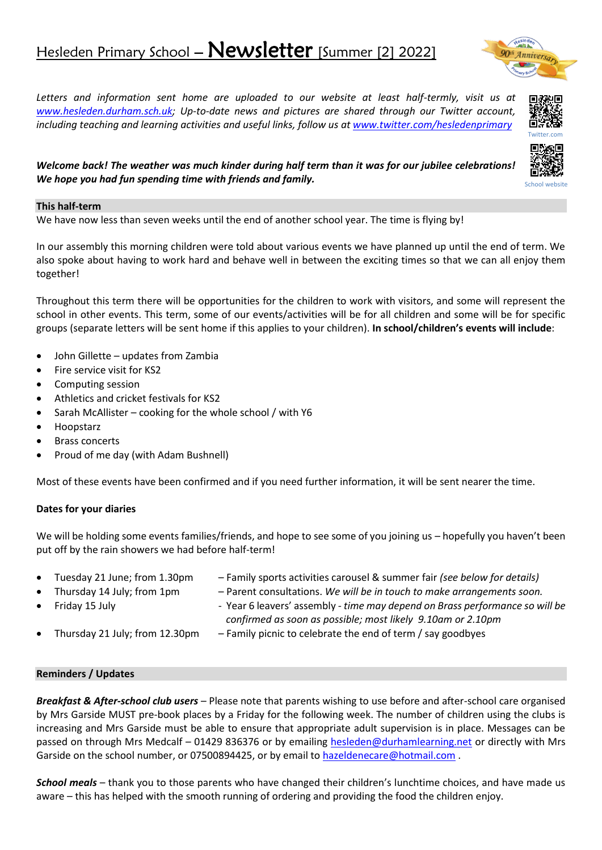# Hesleden Primary School - Newsletter [Summer [2] 2022]

*Letters and information sent home are uploaded to our website at least half-termly, visit us at [www.hesleden.durham.sch.uk;](http://www.hesleden.durham.sch.uk/) Up-to-date news and pictures are shared through our Twitter account, including teaching and learning activities and useful links, follow us at [www.twitter.com/hesledenprimary](http://www.twitter.com/hesledenprimary)*

*Welcome back! The weather was much kinder during half term than it was for our jubilee celebrations! We hope you had fun spending time with friends and family.*

# **This half-term**

We have now less than seven weeks until the end of another school year. The time is flying by!

In our assembly this morning children were told about various events we have planned up until the end of term. We also spoke about having to work hard and behave well in between the exciting times so that we can all enjoy them together!

Throughout this term there will be opportunities for the children to work with visitors, and some will represent the school in other events. This term, some of our events/activities will be for all children and some will be for specific groups (separate letters will be sent home if this applies to your children). **In school/children's events will include**:

- John Gillette updates from Zambia
- Fire service visit for KS2
- Computing session
- Athletics and cricket festivals for KS2
- Sarah McAllister cooking for the whole school / with Y6
- Hoopstarz
- **Brass concerts**
- Proud of me day (with Adam Bushnell)

Most of these events have been confirmed and if you need further information, it will be sent nearer the time.

# **Dates for your diaries**

We will be holding some events families/friends, and hope to see some of you joining us – hopefully you haven't been put off by the rain showers we had before half-term!

- Tuesday 21 June; from 1.30pm Family sports activities carousel & summer fair *(see below for details)* • Thursday 14 July; from 1pm – Parent consultations. *We will be in touch to make arrangements soon.* • Friday 15 July - Year 6 leavers' assembly *- time may depend on Brass performance so will be*
- 
- *confirmed as soon as possible; most likely 9.10am or 2.10pm*
- Thursday 21 July; from 12.30pm Family picnic to celebrate the end of term / say goodbyes

#### **Reminders / Updates**

*Breakfast & After-school club users* – Please note that parents wishing to use before and after-school care organised by Mrs Garside MUST pre-book places by a Friday for the following week. The number of children using the clubs is increasing and Mrs Garside must be able to ensure that appropriate adult supervision is in place. Messages can be passed on through Mrs Medcalf – 01429 836376 or by emailing [hesleden@durhamlearning.net](mailto:hesleden@durhamlearning.net) or directly with Mrs Garside on the school number, or 07500894425, or by email to [hazeldenecare@hotmail.com](mailto:hazeldenecare@hotmail.com).

*School meals* – thank you to those parents who have changed their children's lunchtime choices, and have made us aware – this has helped with the smooth running of ordering and providing the food the children enjoy.



School website